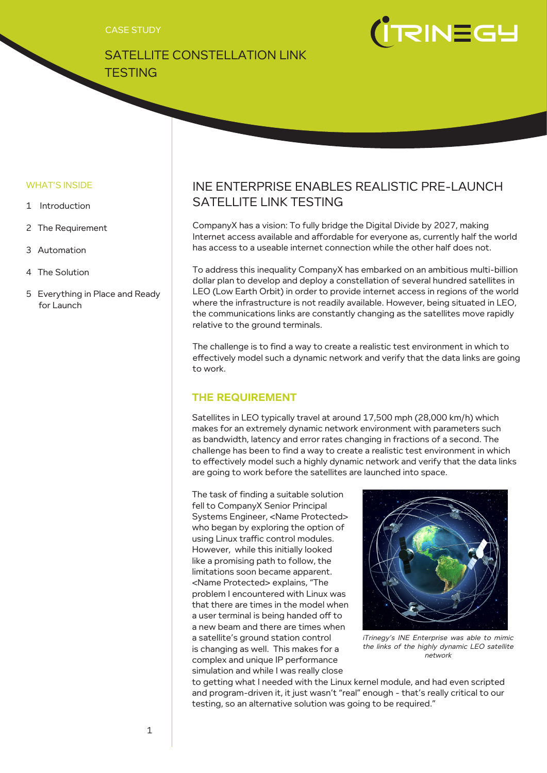CASE STUDY

SATELLITE CONSTELLATION LINK



# LDENISTI)

#### WHAT'S INSIDE

- 1 Introduction
- 2 The Requirement
- 3 Automation
- 4 The Solution
- 5 Everything in Place and Ready for Launch

# INE ENTERPRISE ENABLES REALISTIC PRE-LAUNCH SATELLITE LINK TESTING

CompanyX has a vision: To fully bridge the Digital Divide by 2027, making Internet access available and affordable for everyone as, currently half the world has access to a useable internet connection while the other half does not.

To address this inequality CompanyX has embarked on an ambitious multi-billion dollar plan to develop and deploy a constellation of several hundred satellites in LEO (Low Earth Orbit) in order to provide internet access in regions of the world where the infrastructure is not readily available. However, being situated in LEO, the communications links are constantly changing as the satellites move rapidly relative to the ground terminals.

The challenge is to find a way to create a realistic test environment in which to effectively model such a dynamic network and verify that the data links are going to work.

## **THE REQUIREMENT**

Satellites in LEO typically travel at around 17,500 mph (28,000 km/h) which makes for an extremely dynamic network environment with parameters such as bandwidth, latency and error rates changing in fractions of a second. The challenge has been to find a way to create a realistic test environment in which to effectively model such a highly dynamic network and verify that the data links are going to work before the satellites are launched into space.

The task of finding a suitable solution fell to CompanyX Senior Principal Systems Engineer, <Name Protected> who began by exploring the option of using Linux traffic control modules. However, while this initially looked like a promising path to follow, the limitations soon became apparent. <Name Protected> explains, "The problem I encountered with Linux was that there are times in the model when a user terminal is being handed off to a new beam and there are times when a satellite's ground station control is changing as well. This makes for a complex and unique IP performance simulation and while I was really close



iTrinegy's INE Enterprise was able to mimic the links of the highly dynamic LEO satellite network

to getting what I needed with the Linux kernel module, and had even scripted and program-driven it, it just wasn't "real" enough - that's really critical to our testing, so an alternative solution was going to be required."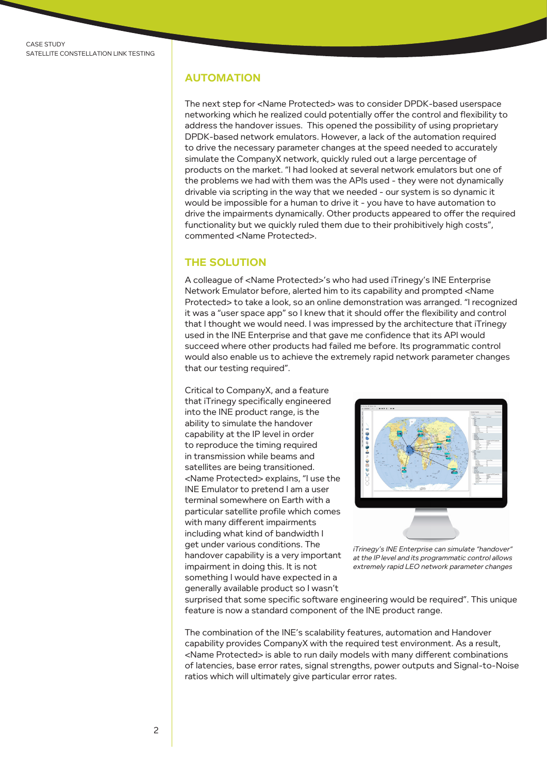#### **AUTOMATION**

The next step for <Name Protected> was to consider DPDK-based userspace networking which he realized could potentially offer the control and flexibility to address the handover issues. This opened the possibility of using proprietary DPDK-based network emulators. However, a lack of the automation required to drive the necessary parameter changes at the speed needed to accurately simulate the CompanyX network, quickly ruled out a large percentage of products on the market. "I had looked at several network emulators but one of the problems we had with them was the APIs used - they were not dynamically drivable via scripting in the way that we needed - our system is so dynamic it would be impossible for a human to drive it - you have to have automation to drive the impairments dynamically. Other products appeared to offer the required functionality but we quickly ruled them due to their prohibitively high costs", commented <Name Protected>.

#### **THE SOLUTION**

A colleague of <Name Protected>'s who had used iTrinegy's INE Enterprise Network Emulator before, alerted him to its capability and prompted <Name Protected> to take a look, so an online demonstration was arranged. "I recognized it was a "user space app" so I knew that it should offer the flexibility and control that I thought we would need. I was impressed by the architecture that iTrinegy used in the INE Enterprise and that gave me confidence that its API would succeed where other products had failed me before. Its programmatic control would also enable us to achieve the extremely rapid network parameter changes that our testing required".

Critical to CompanyX, and a feature that iTrinegy specifically engineered into the INE product range, is the ability to simulate the handover capability at the IP level in order to reproduce the timing required in transmission while beams and satellites are being transitioned. <Name Protected> explains, "I use the INE Emulator to pretend I am a user terminal somewhere on Earth with a particular satellite profile which comes with many different impairments including what kind of bandwidth I get under various conditions. The handover capability is a very important impairment in doing this. It is not something I would have expected in a generally available product so I wasn't



iTrinegy's INE Enterprise can simulate "handover" at the IP level and its programmatic control allows extremely rapid LEO network parameter changes

surprised that some specific software engineering would be required". This unique feature is now a standard component of the INE product range.

The combination of the INE's scalability features, automation and Handover capability provides CompanyX with the required test environment. As a result, <Name Protected> is able to run daily models with many different combinations of latencies, base error rates, signal strengths, power outputs and Signal-to-Noise ratios which will ultimately give particular error rates.